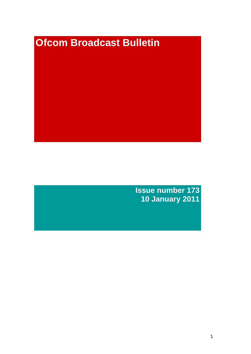# **Ofcom Broadcast Bulletin**

**Issue number 173 10 January 2011**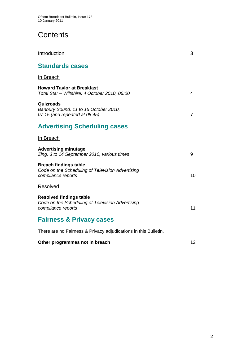# **Contents**

| <b>Standards cases</b>                                                                                   |    |
|----------------------------------------------------------------------------------------------------------|----|
| In Breach                                                                                                |    |
| <b>Howard Taylor at Breakfast</b><br>Total Star - Wiltshire, 4 October 2010, 06:00                       | 4  |
| Quizroads<br>Banbury Sound, 11 to 15 October 2010,<br>$07:15$ (and repeated at $08:45$ )                 | 7  |
| <b>Advertising Scheduling cases</b>                                                                      |    |
| In Breach                                                                                                |    |
| <b>Advertising minutage</b><br>Zing, 3 to 14 September 2010, various times                               | 9  |
| <b>Breach findings table</b><br>Code on the Scheduling of Television Advertising<br>compliance reports   | 10 |
| <b>Resolved</b>                                                                                          |    |
| <b>Resolved findings table</b><br>Code on the Scheduling of Television Advertising<br>compliance reports | 11 |
| <b>Fairness &amp; Privacy cases</b>                                                                      |    |
| There are no Fairness & Privacy adjudications in this Bulletin.                                          |    |
| Other programmes not in breach                                                                           | 12 |

Introduction 3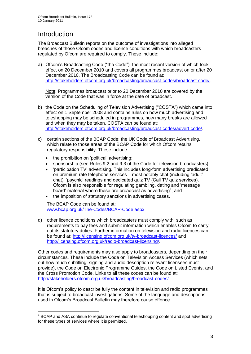# Introduction

1

The Broadcast Bulletin reports on the outcome of investigations into alleged breaches of those Ofcom codes and licence conditions with which broadcasters regulated by Ofcom are required to comply. These include:

a) Ofcom"s Broadcasting Code ("the Code"), the most recent version of which took effect on 20 December 2010 and covers all programmes broadcast on or after 20 December 2010. The Broadcasting Code can be found at: [http://stakeholders.ofcom.org.uk/broadcasting/broadcast-codes/broadcast-code/.](http://stakeholders.ofcom.org.uk/broadcasting/broadcast-codes/broadcast-code/)

Note: Programmes broadcast prior to 20 December 2010 are covered by the version of the Code that was in force at the date of broadcast.

- b) the Code on the Scheduling of Television Advertising ("COSTA") which came into effect on 1 September 2008 and contains rules on how much advertising and teleshopping may be scheduled in programmes, how many breaks are allowed and when they may be taken. COSTA can be found at: [http://stakeholders.ofcom.org.uk/broadcasting/broadcast-codes/advert-code/.](http://stakeholders.ofcom.org.uk/broadcasting/broadcast-codes/advert-code/)
- c) certain sections of the BCAP Code: the UK Code of Broadcast Advertising, which relate to those areas of the BCAP Code for which Ofcom retains regulatory responsibility. These include:
	- the prohibition on "political" advertising;
	- sponsorship (see Rules 9.2 and 9.3 of the Code for television broadcasters);
	- "participation TV" advertising. This includes long-form advertising predicated on premium rate telephone services – most notably chat (including "adult" chat), "psychic" readings and dedicated quiz TV (Call TV quiz services). Ofcom is also responsible for regulating gambling, dating and "message board' material where these are broadcast as advertising<sup>1</sup>; and
	- the imposition of statutory sanctions in advertising cases.

The BCAP Code can be found at: [www.bcap.org.uk/The-Codes/BCAP-Code.aspx](http://www.bcap.org.uk/The-Codes/BCAP-Code.aspx)

d) other licence conditions which broadcasters must comply with, such as requirements to pay fees and submit information which enables Ofcom to carry out its statutory duties. Further information on television and radio licences can be found at:<http://licensing.ofcom.org.uk/tv-broadcast-licences/> and [http://licensing.ofcom.org.uk/radio-broadcast-licensing/.](http://licensing.ofcom.org.uk/radio-broadcast-licensing/)

Other codes and requirements may also apply to broadcasters, depending on their circumstances. These include the Code on Television Access Services (which sets out how much subtitling, signing and audio description relevant licensees must provide), the Code on Electronic Programme Guides, the Code on Listed Events, and the Cross Promotion Code. Links to all these codes can be found at: <http://stakeholders.ofcom.org.uk/broadcasting/broadcast-codes/>

It is Ofcom"s policy to describe fully the content in television and radio programmes that is subject to broadcast investigations. Some of the language and descriptions used in Ofcom"s Broadcast Bulletin may therefore cause offence.

<sup>&</sup>lt;sup>1</sup> BCAP and ASA continue to regulate conventional teleshopping content and spot advertising for these types of services where it is permitted.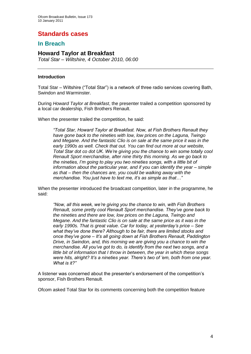# **Standards cases**

## **In Breach**

## **Howard Taylor at Breakfast**

*Total Star – Wiltshire, 4 October 2010, 06:00*

#### **Introduction**

Total Star – Wiltshire ("Total Star") is a network of three radio services covering Bath, Swindon and Warminster.

During *Howard Taylor at Breakfast*, the presenter trailed a competition sponsored by a local car dealership, Fish Brothers Renault.

When the presenter trailed the competition, he said:

*"Total Star, Howard Taylor at Breakfast. Now, at Fish Brothers Renault they have gone back to the nineties with low, low prices on the Laguna, Twingo and Megane. And the fantastic Clio is on sale at the same price it was in the early 1990s as well. Check that out. You can find out more at our website, Total Star dot co dot UK. We're giving you the chance to win some totally cool Renault Sport merchandise, after nine thirty this morning. As we go back to the nineties, I'm going to play you two nineties songs, with a little bit of information about the particular year, and if you can identify the year – simple as that – then the chances are, you could be walking away with the merchandise. You just have to text me, it's as simple as that…"*

When the presenter introduced the broadcast competition, later in the programme, he said:

*"Now, all this week, we're giving you the chance to win, with Fish Brothers Renault, some pretty cool Renault Sport merchandise. They've gone back to the nineties and there are low, low prices on the Laguna, Twingo and Megane. And the fantastic Clio is on sale at the same price as it was in the early 1990s. That is great value. Car for today, at yesterday's price – See what they've done there? Although to be fair, there are limited stocks and once they've gone – It's all going down at Fish Brothers Renault, Paddington Drive, in Swindon, and, this morning we are giving you a chance to win the merchandise. All you've got to do, is identify from the next two songs, and a little bit of information that I throw in between, the year in which these songs were hits, alright? It's a nineties year. There's two of 'em, both from one year. What is it?"*

A listener was concerned about the presenter"s endorsement of the competition"s sponsor, Fish Brothers Renault.

Ofcom asked Total Star for its comments concerning both the competition feature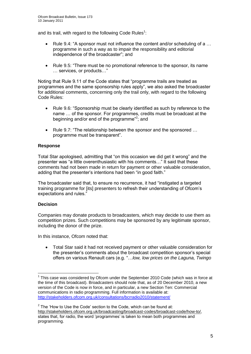and its trail, with regard to the following Code Rules<sup>1</sup>:

- Rule 9.4: "A sponsor must not influence the content and/or scheduling of a ... programme in such a way as to impair the responsibility and editorial independence of the broadcaster"; and
- Rule 9.5: "There must be no promotional reference to the sponsor, its name … services, or products…"

Noting that Rule 9.11 of the Code states that "programme trails are treated as programmes and the same sponsorship rules apply", we also asked the broadcaster for additional comments, concerning only the trail only, with regard to the following Code Rules:

- Rule 9.6: "Sponsorship must be clearly identified as such by reference to the name … of the sponsor. For programmes, credits must be broadcast at the beginning and/or end of the programme"<sup>2</sup>; and
- Rule 9.7: "The relationship between the sponsor and the sponsored ... programme must be transparent".

#### **Response**

Total Star apologised, admitting that "on this occasion we did get it wrong" and the presenter was "a little overenthusiastic with his comments…" It said that these comments had not been made in return for payment or other valuable consideration, adding that the presenter's intentions had been "in good faith."

The broadcaster said that, to ensure no recurrence, it had "instigated a targeted training programme for [its] presenters to refresh their understanding of Ofcom"s expectations and rules."

#### **Decision**

1

Companies may donate products to broadcasters, which may decide to use them as competition prizes. Such competitions may be sponsored by any legitimate sponsor, including the donor of the prize.

In this instance, Ofcom noted that:

 Total Star said it had not received payment or other valuable consideration for the presenter"s comments about the broadcast competition sponsor"s special offers on various Renault cars (e.g. "…*low, low prices on the Laguna, Twingo* 

 $1$  This case was considered by Ofcom under the September 2010 Code (which was in force at the time of this broadcast). Broadcasters should note that, as of 20 December 2010, a new version of the Code is now in force, and in particular, a new Section Ten: Commercial communications in radio programming. Full information is available at: <http://stakeholders.ofcom.org.uk/consultations/bcrradio2010/statement/>

 $2$  The 'How to Use the Code' section to the Code, which can be found at: [http://stakeholders.ofcom.org.uk/broadcasting/broadcast-codes/broadcast-code/how-to/,](http://stakeholders.ofcom.org.uk/broadcasting/broadcast-codes/broadcast-code/how-to/) states that, for radio, the word 'programmes' is taken to mean both programmes and programming.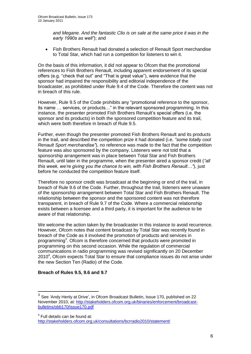*and Megane. And the fantastic Clio is on sale at the same price it was in the early 1990s as well"*); and

 Fish Brothers Renault had donated a selection of Renault Sport merchandise to Total Star, which had run a competition for listeners to win it.

On the basis of this information, it did not appear to Ofcom that the promotional references to Fish Brothers Renault, including apparent endorsement of its special offers (e.g. "check that out" and "That is great value"), were evidence that the sponsor had impaired the responsibility and editorial independence of the broadcaster, as prohibited under Rule 9.4 of the Code. Therefore the content was not in breach of this rule.

However, Rule 9.5 of the Code prohibits any "promotional reference to the sponsor, its name … services, or products…" in the relevant sponsored programming. In this instance, the presenter promoted Fish Brothers Renault"s special offers (i.e. the sponsor and its products) in both the sponsored competition feature and its trail, which were both therefore in breach of Rule 9.5.

Further, even though the presenter promoted Fish Brothers Renault and its products in the trail, and described the competition prize it had donated (i.e. *"some totally cool Renault Sport merchandise"*), no reference was made to the fact that the competition feature was also sponsored by the company. Listeners were not told that a sponsorship arrangement was in place between Total Star and Fish Brothers Renault, until later in the programme, when the presenter aired a sponsor credit (*"all this week, we're giving you the chance to win, with Fish Brothers Renault…"*), just before he conducted the competition feature itself.

Therefore no sponsor credit was broadcast at the beginning or end of the trail, in breach of Rule 9.6 of the Code. Further, throughout the trail, listeners were unaware of the sponsorship arrangement between Total Star and Fish Brothers Renault. The relationship between the sponsor and the sponsored content was not therefore transparent, in breach of Rule 9.7 of the Code. Where a commercial relationship exists between a licensee and a third party, it is important for the audience to be aware of that relationship.

We welcome the action taken by the broadcaster in this instance to avoid recurrence. However, Ofcom notes that content broadcast by Total Star was recently found in breach of the Code as it involved the promotion of products and services in programming<sup>3</sup>. Ofcom is therefore concerned that products were promoted in programming on this second occasion. While the regulation of commercial communications in radio programming was revised significantly on 20 December 2010<sup>4</sup>, Ofcom expects Total Star to ensure that compliance issues do not arise under the new Section Ten (Radio) of the Code.

#### **Breach of Rules 9.5, 9.6 and 9.7**

<sup>4</sup> Full details can be found at:

1

<http://stakeholders.ofcom.org.uk/consultations/bcrradio2010/statement/>

<sup>3</sup> See 'Andy Henly at Drive', in Ofcom Broadcast Bulletin, Issue 170, published on 22 November 2010, at: [http://stakeholders.ofcom.org.uk/binaries/enforcement/broadcast](http://stakeholders.ofcom.org.uk/binaries/enforcement/broadcast-bulletins/obb170/issue170.pdf)[bulletins/obb170/issue170.pdf](http://stakeholders.ofcom.org.uk/binaries/enforcement/broadcast-bulletins/obb170/issue170.pdf)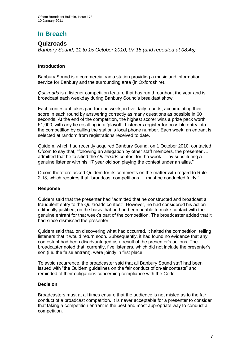# **In Breach**

## **Quizroads**

*Banbury Sound, 11 to 15 October 2010, 07:15 (and repeated at 08:45)*

#### **Introduction**

Banbury Sound is a commercial radio station providing a music and information service for Banbury and the surrounding area (in Oxfordshire).

*Quizroads* is a listener competition feature that has run throughout the year and is broadcast each weekday during Banbury Sound"s breakfast show.

Each contestant takes part for one week, in five daily rounds, accumulating their score in each round by answering correctly as many questions as possible in 60 seconds. At the end of the competition, the highest scorer wins a prize pack worth £1,000, with any tie resulting in a "playoff". Listeners register for possible entry into the competition by calling the station"s local phone number. Each week, an entrant is selected at random from registrations received to date.

Quidem, which had recently acquired Banbury Sound, on 1 October 2010, contacted Ofcom to say that, "following an allegation by other staff members, the presenter … admitted that he falsified the *Quizroads* contest for the week … by substituting a genuine listener with his 17 year old son playing the contest under an alias."

Ofcom therefore asked Quidem for its comments on the matter with regard to Rule 2.13, which requires that "broadcast competitions … must be conducted fairly."

#### **Response**

Quidem said that the presenter had "admitted that he constructed and broadcast a fraudulent entry to the Quizroads contest". However, he had considered his action editorially justified, on the basis that he had been unable to make contact with the genuine entrant for that week"s part of the competition. The broadcaster added that it had since dismissed the presenter.

Quidem said that, on discovering what had occurred, it halted the competition, telling listeners that it would return soon. Subsequently, it had found no evidence that any contestant had been disadvantaged as a result of the presenter"s actions. The broadcaster noted that, currently, five listeners, which did not include the presenter"s son (i.e. the false entrant), were jointly in first place.

To avoid recurrence, the broadcaster said that all Banbury Sound staff had been issued with "the Quidem guidelines on the fair conduct of on-air contests" and reminded of their obligations concerning compliance with the Code.

#### **Decision**

Broadcasters must at all times ensure that the audience is not misled as to the fair conduct of a broadcast competition. It is never acceptable for a presenter to consider that faking a competition entrant is the best and most appropriate way to conduct a competition.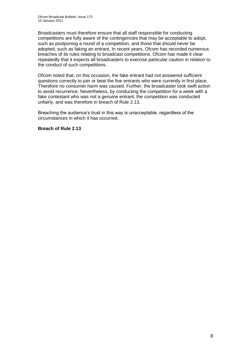Broadcasters must therefore ensure that all staff responsible for conducting competitions are fully aware of the contingencies that may be acceptable to adopt, such as postponing a round of a competition, and those that should never be adopted, such as faking an entrant, In recent years, Ofcom has recorded numerous breaches of its rules relating to broadcast competitions. Ofcom has made it clear repeatedly that it expects all broadcasters to exercise particular caution in relation to the conduct of such competitions.

Ofcom noted that, on this occasion, the fake entrant had not answered sufficient questions correctly to join or beat the five entrants who were currently in first place. Therefore no consumer harm was caused. Further, the broadcaster took swift action to avoid recurrence. Nevertheless, by conducting the competition for a week with a fake contestant who was not a genuine entrant, the competition was conducted unfairly, and was therefore in breach of Rule 2.13.

Breaching the audience's trust in this way is unacceptable, regardless of the circumstances in which it has occurred.

#### **Breach of Rule 2.13**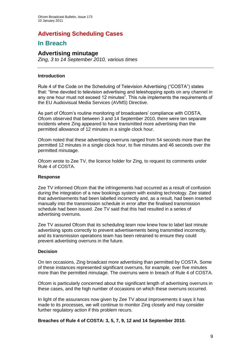## **Advertising Scheduling Cases**

## **In Breach**

## **Advertising minutage**

*Zing, 3 to 14 September 2010, various times*

#### **Introduction**

Rule 4 of the Code on the Scheduling of Television Advertising ("COSTA") states that: "time devoted to television advertising and teleshopping spots on any channel in any one hour must not exceed 12 minutes". This rule implements the requirements of the EU Audiovisual Media Services (AVMS) Directive.

As part of Ofcom's routine monitoring of broadcasters' compliance with COSTA. Ofcom observed that between 3 and 14 September 2010, there were ten separate incidents where Zing appeared to have transmitted more advertising than the permitted allowance of 12 minutes in a single clock hour.

Ofcom noted that these advertising overruns ranged from 54 seconds more than the permitted 12 minutes in a single clock hour, to five minutes and 46 seconds over the permitted minutage.

Ofcom wrote to Zee TV, the licence holder for Zing, to request its comments under Rule 4 of COSTA.

#### **Response**

Zee TV informed Ofcom that the infringements had occurred as a result of confusion during the integration of a new bookings system with existing technology. Zee stated that advertisements had been labelled incorrectly and, as a result, had been inserted manually into the transmission schedule in error after the finalised transmission schedule had been issued. Zee TV said that this had resulted in a series of advertising overruns.

Zee TV assured Ofcom that its scheduling team now knew how to label last minute advertising spots correctly to prevent advertisements being transmitted incorrectly, and its transmission operations team has been retrained to ensure they could prevent advertising overruns in the future.

#### **Decision**

On ten occasions, Zing broadcast more advertising than permitted by COSTA. Some of these instances represented significant overruns, for example, over five minutes more than the permitted minutage. The overruns were in breach of Rule 4 of COSTA.

Ofcom is particularly concerned about the significant length of advertising overruns in these cases, and the high number of occasions on which these overruns occurred.

In light of the assurances now given by Zee TV about improvements it says it has made to its processes, we will continue to monitor Zing closely and may consider further regulatory action if this problem recurs.

**Breaches of Rule 4 of COSTA: 3, 5, 7, 9, 12 and 14 September 2010.**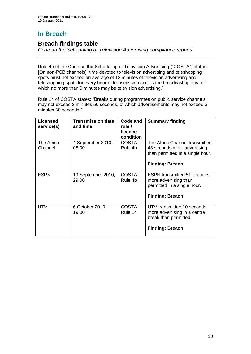# **In Breach**

## **Breach findings table**

*Code on the Scheduling of Television Advertising compliance reports*

Rule 4b of the Code on the Scheduling of Television Advertising ("COSTA") states: [On non-PSB channels] "time devoted to television advertising and teleshopping spots must not exceed an average of 12 minutes of television advertising and teleshopping spots for every hour of transmission across the broadcasting day, of which no more than 9 minutes may be television advertising."

Rule 14 of COSTA states: "Breaks during programmes on public service channels may not exceed 3 minutes 50 seconds, of which advertisements may not exceed 3 minutes 30 seconds."

| <b>Licensed</b><br>service(s) | <b>Transmission date</b><br>and time | Code and<br>rule /<br>licence<br>condition | <b>Summary finding</b>                                                                                                      |
|-------------------------------|--------------------------------------|--------------------------------------------|-----------------------------------------------------------------------------------------------------------------------------|
| The Africa<br>Channel         | 4 September 2010,<br>08:00           | <b>COSTA</b><br>Rule 4b                    | The Africa Channel transmitted<br>43 seconds more advertising<br>than permitted in a single hour.<br><b>Finding: Breach</b> |
| <b>ESPN</b>                   | 19 September 2010,<br>29:00          | <b>COSTA</b><br>Rule 4b                    | <b>ESPN</b> transmitted 51 seconds<br>more advertising than<br>permitted in a single hour.<br><b>Finding: Breach</b>        |
| <b>UTV</b>                    | 6 October 2010,<br>19:00             | <b>COSTA</b><br>Rule 14                    | UTV transmitted 10 seconds<br>more advertising in a centre<br>break than permitted.<br><b>Finding: Breach</b>               |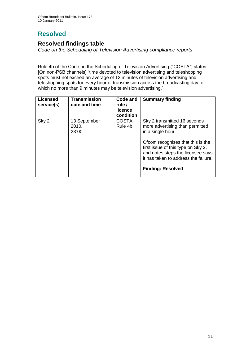# **Resolved**

## **Resolved findings table**

*Code on the Scheduling of Television Advertising compliance reports*

Rule 4b of the Code on the Scheduling of Television Advertising ("COSTA") states: [On non-PSB channels] "time devoted to television advertising and teleshopping spots must not exceed an average of 12 minutes of television advertising and teleshopping spots for every hour of transmission across the broadcasting day, of which no more than 9 minutes may be television advertising."

| <b>Licensed</b><br>service(s) | <b>Transmission</b><br>date and time | Code and<br>rule /<br>licence<br>condition | <b>Summary finding</b>                                                                                                                                                                                                                                                   |
|-------------------------------|--------------------------------------|--------------------------------------------|--------------------------------------------------------------------------------------------------------------------------------------------------------------------------------------------------------------------------------------------------------------------------|
| Sky 2                         | 13 September<br>2010,<br>23:00       | <b>COSTA</b><br>Rule 4b                    | Sky 2 transmitted 16 seconds<br>more advertising than permitted<br>in a single hour.<br>Ofcom recognises that this is the<br>first issue of this type on Sky 2,<br>and notes steps the licensee says<br>it has taken to address the failure.<br><b>Finding: Resolved</b> |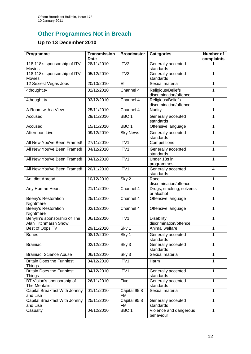# **Other Programmes Not in Breach**

## **Up to 13 December 2010**

| Programme                                            | <b>Transmission</b><br><b>Date</b> | <b>Broadcaster</b> | <b>Categories</b>                           | <b>Number of</b><br>complaints |
|------------------------------------------------------|------------------------------------|--------------------|---------------------------------------------|--------------------------------|
| 118 118's sponsorship of ITV<br>Movies               | 28/11/2010                         | ITV <sub>2</sub>   | Generally accepted<br>standards             |                                |
| 118 118's sponsorship of ITV<br><b>Movies</b>        | 05/12/2010                         | ITV3               | Generally accepted<br>standards             | 1                              |
| 12 Sexiest Vegas Jobs                                | 20/10/2010                         | E!                 | Sexual material                             | 1                              |
| 4thought.tv                                          | 02/12/2010                         | Channel 4          | Religious/Beliefs<br>discrimination/offence | 1                              |
| 4thought.tv                                          | 03/12/2010                         | Channel 4          | Religious/Beliefs<br>discrimination/offence | 1                              |
| A Room with a View                                   | 25/11/2010                         | Channel 4          | <b>Nudity</b>                               | 1                              |
| Accused                                              | 29/11/2010                         | BBC <sub>1</sub>   | Generally accepted<br>standards             | 1                              |
| Accused                                              | 15/11/2010                         | BBC <sub>1</sub>   | Offensive language                          | 1                              |
| Afternoon Live                                       | 09/12/2010                         | <b>Sky News</b>    | Generally accepted<br>standards             | 1                              |
| All New You've Been Framed!                          | 27/11/2010                         | ITV1               | Competitions                                | 1                              |
| All New You've Been Framed!                          | 04/12/2010                         | ITV1               | Generally accepted<br>standards             | 1                              |
| All New You've Been Framed!                          | 04/12/2010                         | ITV1               | Under 18s in<br>programmes                  | 1                              |
| All New You've Been Framed!                          | 20/11/2010                         | ITV1               | Generally accepted<br>standards             | 4                              |
| An Idiot Abroad                                      | 10/12/2010                         | Sky <sub>2</sub>   | Race<br>discrimination/offence              | 1                              |
| Any Human Heart                                      | 21/11/2010                         | Channel 4          | Drugs, smoking, solvents<br>or alcohol      | 1                              |
| Beeny's Restoration<br>Nightmare                     | 25/11/2010                         | Channel 4          | Offensive language                          | 1                              |
| <b>Beeny's Restoration</b><br>Nightmare              | 02/12/2010                         | Channel 4          | Offensive language                          | 1                              |
| Benylin's sponsorship of The<br>Alan Titchmarsh Show | 06/12/2010                         | ITV1               | <b>Disability</b><br>discrimination/offence | 1                              |
| Best of Oops TV                                      | 29/11/2010                         | Sky 1              | Animal welfare                              | 1                              |
| <b>Bones</b>                                         | 08/12/2010                         | Sky 1              | Generally accepted<br>standards             | 1                              |
| <b>Brainiac</b>                                      | 02/12/2010                         | Sky 3              | Generally accepted<br>standards             | 1                              |
| <b>Brainiac: Science Abuse</b>                       | 06/12/2010                         | Sky 3              | Sexual material                             | 1                              |
| <b>Britain Does the Funniest</b><br><b>Things</b>    | 04/12/2010                         | ITV1               | Harm                                        | 1                              |
| <b>Britain Does the Funniest</b><br><b>Things</b>    | 04/12/2010                         | ITV1               | Generally accepted<br>standards             | $\mathbf{1}$                   |
| BT Vision's sponsorship of<br>The Mentalist          | 26/11/2010                         | Five               | Generally accepted<br>standards             | 1                              |
| Capital Breakfast With Johnny<br>and Lisa            | 01/11/2010                         | Capital 95.8<br>FM | Sexual material                             | 1                              |
| Capital Breakfast With Johnny<br>and Lisa            | 25/11/2010                         | Capital 95.8<br>FM | Generally accepted<br>standards             | 1                              |
| Casualty                                             | 04/12/2010                         | BBC <sub>1</sub>   | Violence and dangerous<br>behaviour         | 1                              |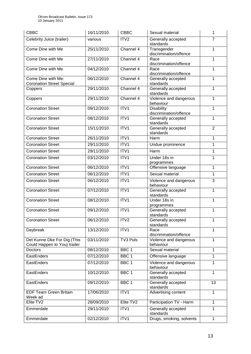| <b>CBBC</b>                                                 | 16/11/2010 | <b>CBBC</b>      | Sexual material                             | 1              |
|-------------------------------------------------------------|------------|------------------|---------------------------------------------|----------------|
| Celebrity Juice (trailer)                                   | various    | ITV <sub>2</sub> | Generally accepted<br>standards             | $\overline{7}$ |
| Come Dine with Me                                           | 25/11/2010 | Channel 4        | Transgender<br>discrimination/offence       | 1              |
| Come Dine with Me                                           | 27/11/2010 | Channel 4        | Race<br>discrimination/offence              | 1              |
| Come Dine with Me                                           | 04/12/2010 | Channel 4        | Race<br>discrimination/offence              | 1              |
| Come Dine with Me:<br><b>Coronation Street Special</b>      | 06/12/2010 | Channel 4        | Generally accepted<br>standards             | 1              |
| Coppers                                                     | 29/11/2010 | Channel 4        | Generally accepted<br>standards             | 1              |
| Coppers                                                     | 29/11/2010 | Channel 4        | Violence and dangerous<br>behaviour         | 1              |
| <b>Coronation Street</b>                                    | 09/12/2010 | ITV1             | <b>Disability</b><br>discrimination/offence | 1              |
| <b>Coronation Street</b>                                    | 08/12/2010 | ITV1             | Generally accepted<br>standards             | 1              |
| <b>Coronation Street</b>                                    | 15/11/2010 | ITV1             | Generally accepted<br>standards             | $\overline{2}$ |
| <b>Coronation Street</b>                                    | 26/11/2010 | ITV1             | Harm                                        | 1              |
| <b>Coronation Street</b>                                    | 29/11/2010 | ITV1             | Undue prominence                            | 1              |
| <b>Coronation Street</b>                                    | 29/11/2010 | ITV1             | Harm                                        | $\mathbf{1}$   |
| <b>Coronation Street</b>                                    | 03/12/2010 | ITV1             | Under 18s in<br>programmes                  | 1              |
| <b>Coronation Street</b>                                    | 06/12/2010 | ITV1             | Offensive language                          | 1              |
| <b>Coronation Street</b>                                    | 06/12/2010 | ITV1             | Sexual material                             | 1              |
| <b>Coronation Street</b>                                    | 06/12/2010 | ITV1             | Violence and dangerous<br>behaviour         | 3              |
| <b>Coronation Street</b>                                    | 07/12/2010 | ITV1             | Generally accepted<br>standards             | 1              |
| <b>Coronation Street</b>                                    | 08/12/2010 | ITV1             | Under 18s in<br>programmes                  | 1              |
| <b>Coronation Street</b>                                    | 09/12/2010 | ITV1             | Generally accepted<br>standards             | 1              |
| <b>Coronation Street</b>                                    | 06/12/2010 | ITV <sub>2</sub> | Generally accepted<br>standards             | 1              |
| Daybreak                                                    | 13/12/2010 | ITV1             | Race<br>discrimination/offence              | $\overline{1}$ |
| Det Kunne Dke For Dig (This<br>Could Happen to You) trailer | 03/11/2010 | TV3 Puls         | Violence and dangerous<br>behaviour         | $\mathbf{1}$   |
| Doctors                                                     | 08/12/2010 | BBC <sub>1</sub> | Sexual material                             | $\mathbf{1}$   |
| EastEnders                                                  | 07/12/2010 | BBC <sub>1</sub> | Offensive language                          | 1              |
| EastEnders                                                  | 07/12/2010 | BBC 1            | Violence and dangerous<br>behaviour         | $\mathbf{1}$   |
| EastEnders                                                  | 10/12/2010 | BBC <sub>1</sub> | Generally accepted<br>standards             | $\mathbf{1}$   |
| EastEnders                                                  | 09/12/2010 | BBC 1            | Generally accepted<br>standards             | 13             |
| <b>EDF Team Green Britain</b><br>Week ad                    | 17/06/2010 | ITV1             | Advertising content                         | 1              |
| Elite TV2                                                   | 28/09/2010 | Elite TV2        | Participation TV - Harm                     | $\mathbf{1}$   |
| Emmerdale                                                   | 29/11/2010 | ITV1             | Generally accepted<br>standards             | $\mathbf{1}$   |
| Emmerdale                                                   | 02/12/2010 | ITV1             | Drugs, smoking, solvents                    | $\mathbf{1}$   |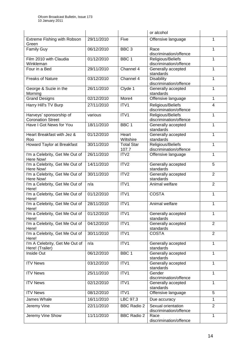|                                                     |            |                            | or alcohol                                   |                |
|-----------------------------------------------------|------------|----------------------------|----------------------------------------------|----------------|
| Extreme Fishing with Robson<br>Green                | 29/11/2010 | Five                       | Offensive language                           | 1              |
| <b>Family Guy</b>                                   | 06/12/2010 | BBC <sub>3</sub>           | Race<br>discrimination/offence               | 1              |
| Film 2010 with Claudia<br>Winkleman                 | 01/12/2010 | BBC <sub>1</sub>           | Religious/Beliefs<br>discrimination/offence  | 1              |
| Four in a Bed                                       | 29/11/2010 | Channel 4                  | Generally accepted<br>standards              | 1              |
| <b>Freaks of Nature</b>                             | 03/12/2010 | Channel 4                  | <b>Disability</b><br>discrimination/offence  | 1              |
| George & Suzie in the<br>Morning                    | 26/11/2010 | Clyde 1                    | Generally accepted<br>standards              | 1              |
| <b>Grand Designs</b>                                | 02/12/2010 | More4                      | Offensive language                           | 1              |
| Harry Hill's TV Burp                                | 27/11/2010 | ITV1                       | Religious/Beliefs<br>discrimination/offence  | $\overline{4}$ |
| Harveys' sponsorship of<br><b>Coronation Street</b> | various    | ITV1                       | Religious/Beliefs<br>discrimination/offence  | 1              |
| Have I Got News for You                             | 18/11/2010 | BBC <sub>1</sub>           | Generally accepted<br>standards              | 1              |
| Heart Breakfast with Jez &<br>Roo                   | 01/12/2010 | Heart<br>Wiltshire         | Generally accepted<br>standards              | 1              |
| <b>Howard Taylor at Breakfast</b>                   | 30/11/2010 | <b>Total Star</b><br>107.7 | Religious/Beliefs<br>discrimination/offence  | 1              |
| I'm a Celebrity, Get Me Out of<br>Here Now!         | 26/11/2010 | ITV <sub>2</sub>           | Offensive language                           | 1              |
| I'm a Celebrity, Get Me Out of<br>Here Now!         | 14/11/2010 | ITV2                       | Generally accepted<br>standards              | 5              |
| I'm a Celebrity, Get Me Out of<br>Here Now!         | 30/11/2010 | ITV2                       | Generally accepted<br>standards              | $\overline{2}$ |
| I'm a Celebrity, Get Me Out of<br>Here!             | n/a        | ITV1                       | Animal welfare                               | $\overline{2}$ |
| I'm a Celebrity, Get Me Out of<br>Here!             | 01/12/2010 | ITV1                       | <b>COSTA</b>                                 | 1              |
| I'm a Celebrity, Get Me Out of<br>Here!             | 28/11/2010 | ITV1                       | Animal welfare                               | 1              |
| I'm a Celebrity, Get Me Out of<br>Here!             | 01/12/2010 | ITV1                       | Generally accepted<br>standards              | 1              |
| I'm a Celebrity, Get Me Out of<br>Here!             | 04/12/2010 | ITV1                       | Generally accepted<br>standards              | $\overline{2}$ |
| I'm a Celebrity, Get Me Out of<br>Here!             | 30/11/2010 | ITV1                       | <b>COSTA</b>                                 | $\overline{2}$ |
| I'm A Celebrity, Get Me Out of<br>Here! (Trailer)   | n/a        | ITV1                       | Generally accepted<br>standards              | $\mathbf{1}$   |
| Inside Out                                          | 06/12/2010 | BBC <sub>1</sub>           | Generally accepted<br>standards              | $\mathbf{1}$   |
| <b>ITV News</b>                                     | 03/12/2010 | ITV1                       | Generally accepted<br>standards              | 1              |
| <b>ITV News</b>                                     | 25/11/2010 | ITV1                       | Gender<br>discrimination/offence             | $\mathbf{1}$   |
| <b>ITV News</b>                                     | 02/12/2010 | ITV1                       | Generally accepted<br>standards              | 1              |
| <b>ITV News</b>                                     | 08/12/2010 | ITV1                       | Offensive language                           | 5              |
| James Whale                                         | 16/11/2010 | LBC 97.3                   | Due accuracy                                 | 1              |
| Jeremy Vine                                         | 22/11/2010 | <b>BBC Radio 2</b>         | Sexual orientation<br>discrimination/offence | $\overline{2}$ |
| Jeremy Vine Show                                    | 11/11/2010 | <b>BBC Radio 2</b>         | Race<br>discrimination/offence               | 1              |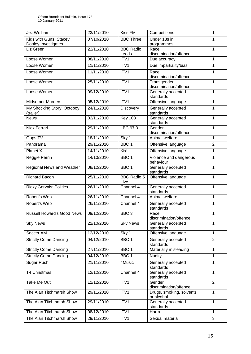| Jez Welham                                    | 23/11/2010 | Kiss FM                    | Competitions                           | 1              |
|-----------------------------------------------|------------|----------------------------|----------------------------------------|----------------|
| Kids with Guns: Stacey<br>Dooley Investigates | 07/10/2010 | <b>BBC Three</b>           | Under 18s in<br>programmes             | 1              |
| Liz Green                                     | 22/11/2010 | <b>BBC Radio</b><br>Leeds  | Race<br>discrimination/offence         | 1              |
| Loose Women                                   | 08/11/2010 | ITV1                       | Due accuracy                           | 1              |
| Loose Women                                   | 11/11/2010 | ITV1                       | Due impartiality/bias                  | $\overline{1}$ |
| Loose Women                                   | 11/11/2010 | ITV1                       | Race<br>discrimination/offence         | 1              |
| Loose Women                                   | 25/11/2010 | ITV1                       | Transgender<br>discrimination/offence  | 1              |
| Loose Women                                   | 09/12/2010 | ITV1                       | Generally accepted<br>standards        | 1              |
| <b>Midsomer Murders</b>                       | 05/12/2010 | ITV1                       | Offensive language                     | 1              |
| My Shocking Story: Octoboy<br>(trailer)       | 24/11/2010 | <b>Discovery</b>           | Generally accepted<br>standards        | 1              |
| <b>News</b>                                   | 02/11/2010 | <b>Key 103</b>             | Generally accepted<br>standards        | 1              |
| Nick Ferrari                                  | 29/11/2010 | LBC 97.3                   | Gender<br>discrimination/offence       | 1              |
| Oops TV                                       | 18/11/2010 | Sky 1                      | Animal welfare                         | 1              |
| Panorama                                      | 29/11/2010 | BBC <sub>1</sub>           | Offensive language                     | $\overline{2}$ |
| Planet X                                      | 14/11/2010 | Kix!                       | Offensive language                     | 1              |
| Reggie Perrin                                 | 14/10/2010 | BBC <sub>1</sub>           | Violence and dangerous<br>behaviour    | 1              |
| Regional News and Weather                     | 08/12/2010 | BBC <sub>1</sub>           | Generally accepted<br>standards        | 1              |
| <b>Richard Bacon</b>                          | 25/11/2010 | <b>BBC Radio 5</b><br>Live | Offensive language                     | $\mathbf{1}$   |
| <b>Ricky Gervais: Politics</b>                | 26/11/2010 | Channel 4                  | Generally accepted<br>standards        | 1              |
| Robert's Web                                  | 26/11/2010 | Channel 4                  | Animal welfare                         | 1              |
| Robert's Web                                  | 26/11/2010 | Channel 4                  | Generally accepted<br>standards        | 1              |
| <b>Russell Howard's Good News</b>             | 09/12/2010 | BBC <sub>3</sub>           | Race<br>discrimination/offence         | 1              |
| <b>Sky News</b>                               | 22/10/2010 | <b>Sky News</b>            | Generally accepted<br>standards        | 1              |
| Soccer AM                                     | 12/12/2010 | Sky 1                      | Offensive language                     | 1              |
| <b>Strictly Come Dancing</b>                  | 04/12/2010 | BBC 1                      | Generally accepted<br>standards        | $\overline{2}$ |
| <b>Strictly Come Dancing</b>                  | 27/11/2010 | BBC 1                      | Materially misleading                  | $\mathbf{1}$   |
| <b>Strictly Come Dancing</b>                  | 04/12/2010 | BBC 1                      | <b>Nudity</b>                          | 1              |
| Sugar Rush                                    | 21/11/2010 | 4Music                     | Generally accepted<br>standards        | $\mathbf{1}$   |
| T4 Christmas                                  | 12/12/2010 | Channel 4                  | Generally accepted<br>standards        | $\mathbf{1}$   |
| Take Me Out                                   | 11/12/2010 | ITV1                       | Gender<br>discrimination/offence       | $\overline{2}$ |
| The Alan Titchmarsh Show                      | 29/11/2010 | ITV1                       | Drugs, smoking, solvents<br>or alcohol | $\mathbf{1}$   |
| The Alan Titchmarsh Show                      | 29/11/2010 | ITV1                       | Generally accepted<br>standards        | 1              |
| The Alan Titchmarsh Show                      | 08/12/2010 | ITV1                       | Harm                                   | 1              |
| The Alan Titchmarsh Show                      | 29/11/2010 | ITV1                       | Sexual material                        | 3              |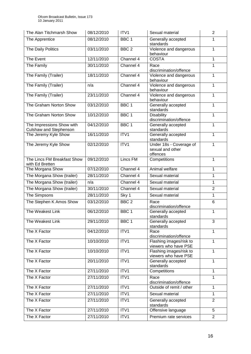| The Alan Titchmarsh Show                            | 08/12/2010 | ITV <sub>1</sub> | Sexual material                                         | $\overline{2}$ |
|-----------------------------------------------------|------------|------------------|---------------------------------------------------------|----------------|
| The Apprentice                                      | 08/12/2010 | BBC <sub>1</sub> | Generally accepted<br>standards                         | 1              |
| The Daily Politics                                  | 03/11/2010 | BBC <sub>2</sub> | Violence and dangerous<br>behaviour                     | 1              |
| The Event                                           | 12/11/2010 | Channel 4        | <b>COSTA</b>                                            | 1              |
| The Family                                          | 30/11/2010 | Channel 4        | Race<br>discrimination/offence                          | 1              |
| The Family (Trailer)                                | 18/11/2010 | Channel 4        | Violence and dangerous<br>behaviour                     | $\mathbf{1}$   |
| The Family (Trailer)                                | n/a        | Channel 4        | Violence and dangerous<br>behaviour                     | 1              |
| The Family (Trailer)                                | 23/11/2010 | Channel 4        | Violence and dangerous<br>behaviour                     | 1              |
| The Graham Norton Show                              | 03/12/2010 | BBC <sub>1</sub> | Generally accepted<br>standards                         | $\mathbf{1}$   |
| The Graham Norton Show                              | 10/12/2010 | BBC <sub>1</sub> | <b>Disability</b><br>discrimination/offence             | 1              |
| The Impressions Show with<br>Culshaw and Stephenson | 04/12/2010 | BBC <sub>1</sub> | Generally accepted<br>standards                         | 1              |
| The Jeremy Kyle Show                                | 16/11/2010 | ITV1             | Generally accepted<br>standards                         | 1              |
| The Jeremy Kyle Show                                | 02/12/2010 | ITV1             | Under 18s - Coverage of<br>sexual and other<br>offences | $\mathbf{1}$   |
| The Lincs FM Breakfast Show<br>with Ed Bretten      | 09/12/2010 | Lincs FM         | Competitions                                            | $\mathbf{1}$   |
| The Morgana Show                                    | 07/12/2010 | Channel 4        | Animal welfare                                          | $\mathbf{1}$   |
| The Morgana Show (trailer)                          | 28/11/2010 | Channel 4        | Sexual material                                         | 1              |
| The Morgana Show (trailer)                          | n/a        | Channel 4        | Sexual material                                         | $\mathbf{1}$   |
| The Morgana Show (trailer)                          | 30/11/2010 | Channel 4        | Sexual material                                         | $\overline{2}$ |
| The Simpsons                                        | 28/11/2010 | Sky 1            | Sexual material                                         | $\mathbf{1}$   |
| The Stephen K Amos Show                             | 03/12/2010 | BBC <sub>2</sub> | Race<br>discrimination/offence                          | 6              |
| The Weakest Link                                    | 06/12/2010 | BBC <sub>1</sub> | Generally accepted<br>standards                         | $\mathbf{1}$   |
| The Weakest Link                                    | 29/11/2010 | BBC 1            | Generally accepted<br>standards                         | 3              |
| The X Factor                                        | 04/12/2010 | ITV1             | Race<br>discrimination/offence                          | 1              |
| The X Factor                                        | 10/10/2010 | ITV1             | Flashing images/risk to<br>viewers who have PSE         | 1              |
| The X Factor                                        | 10/10/2010 | ITV1             | Flashing images/risk to<br>viewers who have PSE         | 1              |
| The X Factor                                        | 20/11/2010 | ITV1             | Generally accepted<br>standards                         | 1              |
| The X Factor                                        | 27/11/2010 | ITV1             | Competitions                                            | 1              |
| The X Factor                                        | 27/11/2010 | ITV1             | Race<br>discrimination/offence                          | 1              |
| The X Factor                                        | 27/11/2010 | ITV1             | Outside of remit / other                                | 1              |
| The X Factor                                        | 27/11/2010 | ITV1             | Sexual material                                         | $\mathbf{1}$   |
| The X Factor                                        | 27/11/2010 | ITV1             | Generally accepted<br>standards                         | $\overline{2}$ |
| The X Factor                                        | 27/11/2010 | ITV1             | Offensive language                                      | 5              |
| The X Factor                                        | 27/11/2010 | ITV1             | Premium rate services                                   | $\overline{2}$ |